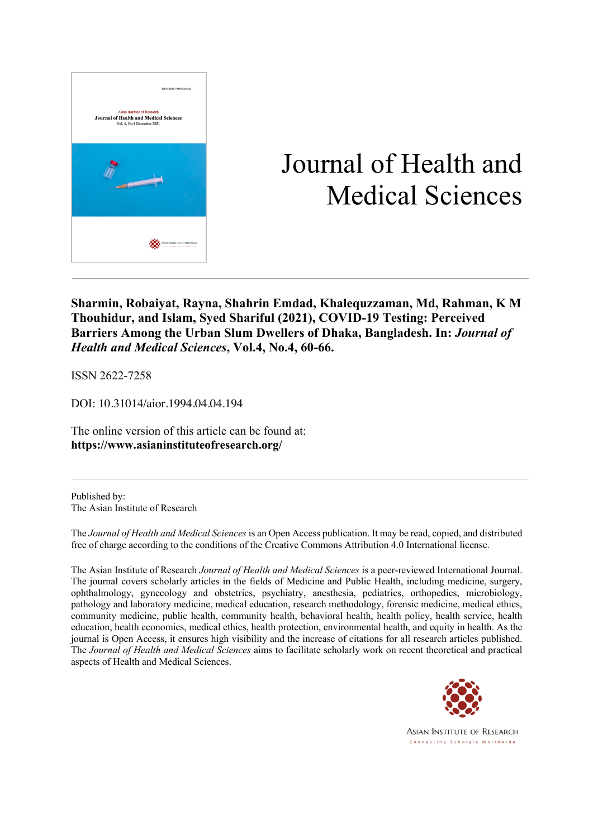

# Journal of Health and Medical Sciences

**Sharmin, Robaiyat, Rayna, Shahrin Emdad, Khalequzzaman, Md, Rahman, K M Thouhidur, and Islam, Syed Shariful (2021), COVID-19 Testing: Perceived Barriers Among the Urban Slum Dwellers of Dhaka, Bangladesh. In:** *Journal of Health and Medical Sciences***, Vol.4, No.4, 60-66.**

ISSN 2622-7258

DOI: 10.31014/aior.1994.04.04.194

The online version of this article can be found at: **https://www.asianinstituteofresearch.org/**

Published by: The Asian Institute of Research

The *Journal of Health and Medical Sciences* is an Open Access publication. It may be read, copied, and distributed free of charge according to the conditions of the Creative Commons Attribution 4.0 International license.

The Asian Institute of Research *Journal of Health and Medical Sciences* is a peer-reviewed International Journal. The journal covers scholarly articles in the fields of Medicine and Public Health, including medicine, surgery, ophthalmology, gynecology and obstetrics, psychiatry, anesthesia, pediatrics, orthopedics, microbiology, pathology and laboratory medicine, medical education, research methodology, forensic medicine, medical ethics, community medicine, public health, community health, behavioral health, health policy, health service, health education, health economics, medical ethics, health protection, environmental health, and equity in health. As the journal is Open Access, it ensures high visibility and the increase of citations for all research articles published. The *Journal of Health and Medical Sciences* aims to facilitate scholarly work on recent theoretical and practical aspects of Health and Medical Sciences.



**ASIAN INSTITUTE OF RESEARCH** Connecting Scholars Worldwide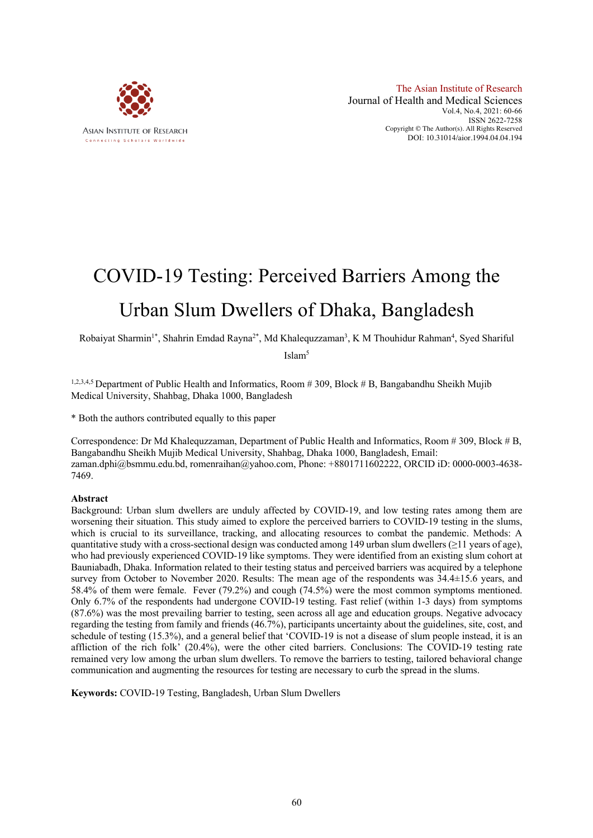

# COVID-19 Testing: Perceived Barriers Among the Urban Slum Dwellers of Dhaka, Bangladesh

Robaiyat Sharmin<sup>1\*</sup>, Shahrin Emdad Rayna<sup>2\*</sup>, Md Khalequzzaman<sup>3</sup>, K M Thouhidur Rahman<sup>4</sup>, Syed Shariful

Islam5

1,2,3,4,5 Department of Public Health and Informatics, Room # 309, Block # B, Bangabandhu Sheikh Mujib Medical University, Shahbag, Dhaka 1000, Bangladesh

\* Both the authors contributed equally to this paper

Correspondence: Dr Md Khalequzzaman, Department of Public Health and Informatics, Room # 309, Block # B, Bangabandhu Sheikh Mujib Medical University, Shahbag, Dhaka 1000, Bangladesh, Email: zaman.dphi@bsmmu.edu.bd, romenraihan@yahoo.com, Phone: +8801711602222, ORCID iD: 0000-0003-4638- 7469.

## **Abstract**

Background: Urban slum dwellers are unduly affected by COVID-19, and low testing rates among them are worsening their situation. This study aimed to explore the perceived barriers to COVID-19 testing in the slums, which is crucial to its surveillance, tracking, and allocating resources to combat the pandemic. Methods: A quantitative study with a cross-sectional design was conducted among 149 urban slum dwellers ( $\geq$ 11 years of age), who had previously experienced COVID-19 like symptoms. They were identified from an existing slum cohort at Bauniabadh, Dhaka. Information related to their testing status and perceived barriers was acquired by a telephone survey from October to November 2020. Results: The mean age of the respondents was 34.4±15.6 years, and 58.4% of them were female. Fever (79.2%) and cough (74.5%) were the most common symptoms mentioned. Only 6.7% of the respondents had undergone COVID-19 testing. Fast relief (within 1-3 days) from symptoms (87.6%) was the most prevailing barrier to testing, seen across all age and education groups. Negative advocacy regarding the testing from family and friends (46.7%), participants uncertainty about the guidelines, site, cost, and schedule of testing (15.3%), and a general belief that 'COVID-19 is not a disease of slum people instead, it is an affliction of the rich folk' (20.4%), were the other cited barriers. Conclusions: The COVID-19 testing rate remained very low among the urban slum dwellers. To remove the barriers to testing, tailored behavioral change communication and augmenting the resources for testing are necessary to curb the spread in the slums.

**Keywords:** COVID-19 Testing, Bangladesh, Urban Slum Dwellers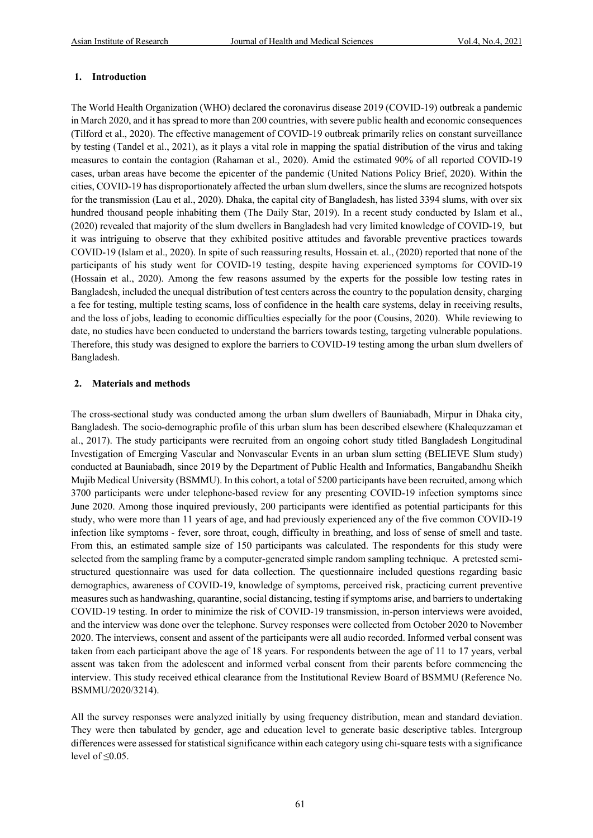# **1. Introduction**

The World Health Organization (WHO) declared the coronavirus disease 2019 (COVID-19) outbreak a pandemic in March 2020, and it has spread to more than 200 countries, with severe public health and economic consequences (Tilford et al., 2020). The effective management of COVID-19 outbreak primarily relies on constant surveillance by testing (Tandel et al., 2021), as it plays a vital role in mapping the spatial distribution of the virus and taking measures to contain the contagion (Rahaman et al., 2020). Amid the estimated 90% of all reported COVID-19 cases, urban areas have become the epicenter of the pandemic (United Nations Policy Brief, 2020). Within the cities, COVID-19 has disproportionately affected the urban slum dwellers, since the slums are recognized hotspots for the transmission (Lau et al., 2020). Dhaka, the capital city of Bangladesh, has listed 3394 slums, with over six hundred thousand people inhabiting them (The Daily Star, 2019). In a recent study conducted by Islam et al., (2020) revealed that majority of the slum dwellers in Bangladesh had very limited knowledge of COVID-19, but it was intriguing to observe that they exhibited positive attitudes and favorable preventive practices towards COVID-19 (Islam et al., 2020). In spite of such reassuring results, Hossain et. al., (2020) reported that none of the participants of his study went for COVID-19 testing, despite having experienced symptoms for COVID-19 (Hossain et al., 2020). Among the few reasons assumed by the experts for the possible low testing rates in Bangladesh, included the unequal distribution of test centers across the country to the population density, charging a fee for testing, multiple testing scams, loss of confidence in the health care systems, delay in receiving results, and the loss of jobs, leading to economic difficulties especially for the poor (Cousins, 2020). While reviewing to date, no studies have been conducted to understand the barriers towards testing, targeting vulnerable populations. Therefore, this study was designed to explore the barriers to COVID-19 testing among the urban slum dwellers of Bangladesh.

# **2. Materials and methods**

The cross-sectional study was conducted among the urban slum dwellers of Bauniabadh, Mirpur in Dhaka city, Bangladesh. The socio-demographic profile of this urban slum has been described elsewhere (Khalequzzaman et al., 2017). The study participants were recruited from an ongoing cohort study titled Bangladesh Longitudinal Investigation of Emerging Vascular and Nonvascular Events in an urban slum setting (BELIEVE Slum study) conducted at Bauniabadh, since 2019 by the Department of Public Health and Informatics, Bangabandhu Sheikh Mujib Medical University (BSMMU). In this cohort, a total of 5200 participants have been recruited, among which 3700 participants were under telephone-based review for any presenting COVID-19 infection symptoms since June 2020. Among those inquired previously, 200 participants were identified as potential participants for this study, who were more than 11 years of age, and had previously experienced any of the five common COVID-19 infection like symptoms - fever, sore throat, cough, difficulty in breathing, and loss of sense of smell and taste. From this, an estimated sample size of 150 participants was calculated. The respondents for this study were selected from the sampling frame by a computer-generated simple random sampling technique. A pretested semistructured questionnaire was used for data collection. The questionnaire included questions regarding basic demographics, awareness of COVID-19, knowledge of symptoms, perceived risk, practicing current preventive measures such as handwashing, quarantine, social distancing, testing if symptoms arise, and barriers to undertaking COVID-19 testing. In order to minimize the risk of COVID-19 transmission, in-person interviews were avoided, and the interview was done over the telephone. Survey responses were collected from October 2020 to November 2020. The interviews, consent and assent of the participants were all audio recorded. Informed verbal consent was taken from each participant above the age of 18 years. For respondents between the age of 11 to 17 years, verbal assent was taken from the adolescent and informed verbal consent from their parents before commencing the interview. This study received ethical clearance from the Institutional Review Board of BSMMU (Reference No. BSMMU/2020/3214).

All the survey responses were analyzed initially by using frequency distribution, mean and standard deviation. They were then tabulated by gender, age and education level to generate basic descriptive tables. Intergroup differences were assessed for statistical significance within each category using chi-square tests with a significance level of  $\leq 0.05$ .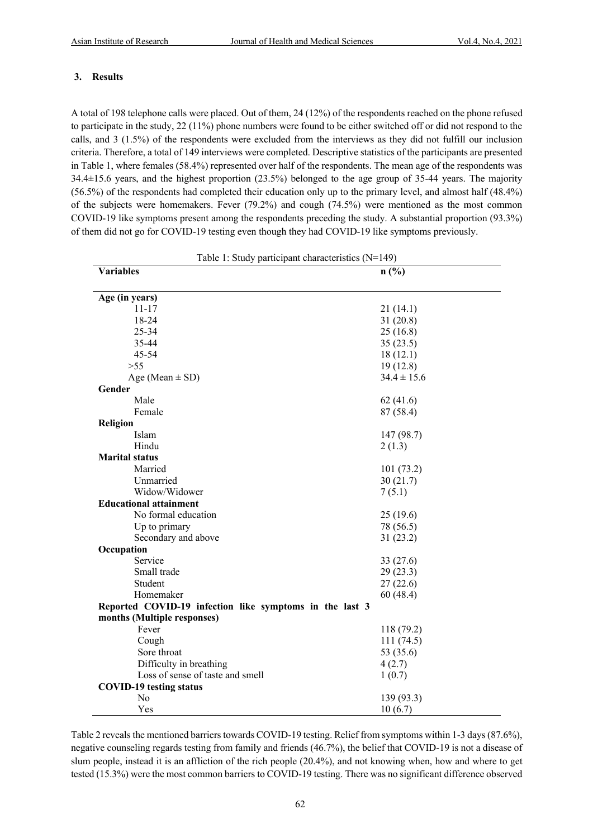# **3. Results**

A total of 198 telephone calls were placed. Out of them, 24 (12%) of the respondents reached on the phone refused to participate in the study, 22 (11%) phone numbers were found to be either switched off or did not respond to the calls, and 3 (1.5%) of the respondents were excluded from the interviews as they did not fulfill our inclusion criteria. Therefore, a total of 149 interviews were completed. Descriptive statistics of the participants are presented in Table 1, where females (58.4%) represented over half of the respondents. The mean age of the respondents was 34.4±15.6 years, and the highest proportion (23.5%) belonged to the age group of 35-44 years. The majority (56.5%) of the respondents had completed their education only up to the primary level, and almost half (48.4%) of the subjects were homemakers. Fever (79.2%) and cough (74.5%) were mentioned as the most common COVID-19 like symptoms present among the respondents preceding the study. A substantial proportion (93.3%) of them did not go for COVID-19 testing even though they had COVID-19 like symptoms previously.

| Table 1. Study participant characteristics $(19 - 147)$ |                 |
|---------------------------------------------------------|-----------------|
| <b>Variables</b>                                        | n(%)            |
|                                                         |                 |
| Age (in years)                                          |                 |
| $11 - 17$                                               | 21(14.1)        |
| 18-24                                                   | 31(20.8)        |
| 25-34                                                   | 25(16.8)        |
| 35-44                                                   | 35(23.5)        |
| 45-54                                                   | 18(12.1)        |
| > 55                                                    | 19(12.8)        |
| Age (Mean $\pm$ SD)                                     | $34.4 \pm 15.6$ |
| Gender                                                  |                 |
| Male                                                    | 62(41.6)        |
| Female                                                  | 87 (58.4)       |
| Religion                                                |                 |
| Islam                                                   | 147 (98.7)      |
| Hindu                                                   | 2(1.3)          |
| <b>Marital status</b>                                   |                 |
| Married                                                 | 101(73.2)       |
| Unmarried                                               | 30(21.7)        |
| Widow/Widower                                           | 7(5.1)          |
| <b>Educational attainment</b>                           |                 |
| No formal education                                     | 25(19.6)        |
| Up to primary                                           | 78 (56.5)       |
| Secondary and above                                     | 31(23.2)        |
| Occupation                                              |                 |
| Service                                                 | 33 (27.6)       |
| Small trade                                             | 29 (23.3)       |
| Student                                                 | 27(22.6)        |
| Homemaker                                               | 60(48.4)        |
| Reported COVID-19 infection like symptoms in the last 3 |                 |
| months (Multiple responses)                             |                 |
| Fever                                                   | 118 (79.2)      |
| Cough                                                   | 111(74.5)       |
| Sore throat                                             | 53 (35.6)       |
| Difficulty in breathing                                 | 4(2.7)          |
| Loss of sense of taste and smell                        | 1(0.7)          |
| <b>COVID-19 testing status</b>                          |                 |
| No                                                      | 139 (93.3)      |
| Yes                                                     | 10(6.7)         |

Table 2 reveals the mentioned barriers towards COVID-19 testing. Relief from symptoms within 1-3 days (87.6%), negative counseling regards testing from family and friends (46.7%), the belief that COVID-19 is not a disease of slum people, instead it is an affliction of the rich people (20.4%), and not knowing when, how and where to get tested (15.3%) were the most common barriers to COVID-19 testing. There was no significant difference observed

Table 1: Study participant characteristics (N=149)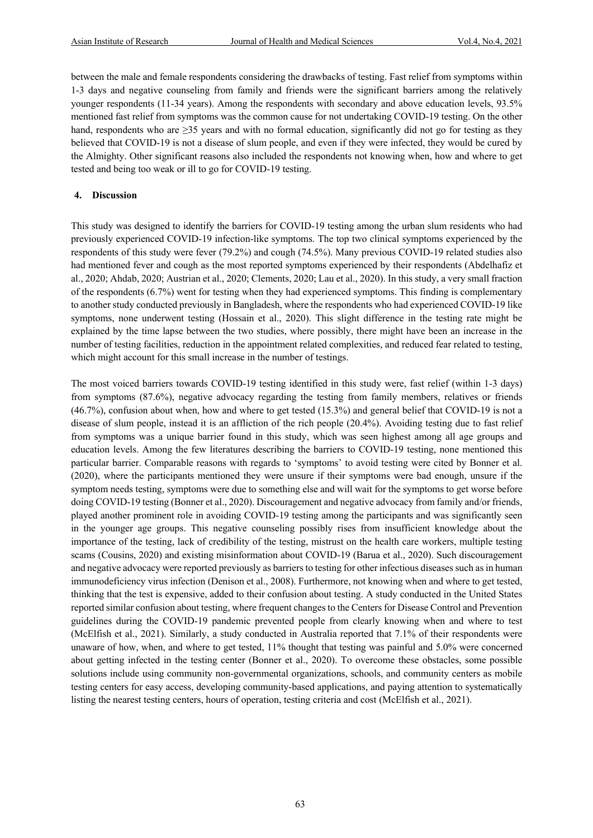between the male and female respondents considering the drawbacks of testing. Fast relief from symptoms within 1-3 days and negative counseling from family and friends were the significant barriers among the relatively younger respondents (11-34 years). Among the respondents with secondary and above education levels, 93.5% mentioned fast relief from symptoms was the common cause for not undertaking COVID-19 testing. On the other hand, respondents who are ≥35 years and with no formal education, significantly did not go for testing as they believed that COVID-19 is not a disease of slum people, and even if they were infected, they would be cured by the Almighty. Other significant reasons also included the respondents not knowing when, how and where to get tested and being too weak or ill to go for COVID-19 testing.

# **4. Discussion**

This study was designed to identify the barriers for COVID-19 testing among the urban slum residents who had previously experienced COVID-19 infection-like symptoms. The top two clinical symptoms experienced by the respondents of this study were fever (79.2%) and cough (74.5%). Many previous COVID-19 related studies also had mentioned fever and cough as the most reported symptoms experienced by their respondents (Abdelhafiz et al., 2020; Ahdab, 2020; Austrian et al., 2020; Clements, 2020; Lau et al., 2020). In this study, a very small fraction of the respondents (6.7%) went for testing when they had experienced symptoms. This finding is complementary to another study conducted previously in Bangladesh, where the respondents who had experienced COVID-19 like symptoms, none underwent testing (Hossain et al., 2020). This slight difference in the testing rate might be explained by the time lapse between the two studies, where possibly, there might have been an increase in the number of testing facilities, reduction in the appointment related complexities, and reduced fear related to testing, which might account for this small increase in the number of testings.

The most voiced barriers towards COVID-19 testing identified in this study were, fast relief (within 1-3 days) from symptoms (87.6%), negative advocacy regarding the testing from family members, relatives or friends (46.7%), confusion about when, how and where to get tested (15.3%) and general belief that COVID-19 is not a disease of slum people, instead it is an affliction of the rich people (20.4%). Avoiding testing due to fast relief from symptoms was a unique barrier found in this study, which was seen highest among all age groups and education levels. Among the few literatures describing the barriers to COVID-19 testing, none mentioned this particular barrier. Comparable reasons with regards to 'symptoms' to avoid testing were cited by Bonner et al. (2020), where the participants mentioned they were unsure if their symptoms were bad enough, unsure if the symptom needs testing, symptoms were due to something else and will wait for the symptoms to get worse before doing COVID-19 testing (Bonner et al., 2020). Discouragement and negative advocacy from family and/or friends, played another prominent role in avoiding COVID-19 testing among the participants and was significantly seen in the younger age groups. This negative counseling possibly rises from insufficient knowledge about the importance of the testing, lack of credibility of the testing, mistrust on the health care workers, multiple testing scams (Cousins, 2020) and existing misinformation about COVID-19 (Barua et al., 2020). Such discouragement and negative advocacy were reported previously as barriers to testing for other infectious diseases such as in human immunodeficiency virus infection (Denison et al., 2008). Furthermore, not knowing when and where to get tested, thinking that the test is expensive, added to their confusion about testing. A study conducted in the United States reported similar confusion about testing, where frequent changes to the Centers for Disease Control and Prevention guidelines during the COVID-19 pandemic prevented people from clearly knowing when and where to test (McElfish et al., 2021). Similarly, a study conducted in Australia reported that 7.1% of their respondents were unaware of how, when, and where to get tested, 11% thought that testing was painful and 5.0% were concerned about getting infected in the testing center (Bonner et al., 2020). To overcome these obstacles, some possible solutions include using community non-governmental organizations, schools, and community centers as mobile testing centers for easy access, developing community-based applications, and paying attention to systematically listing the nearest testing centers, hours of operation, testing criteria and cost (McElfish et al., 2021).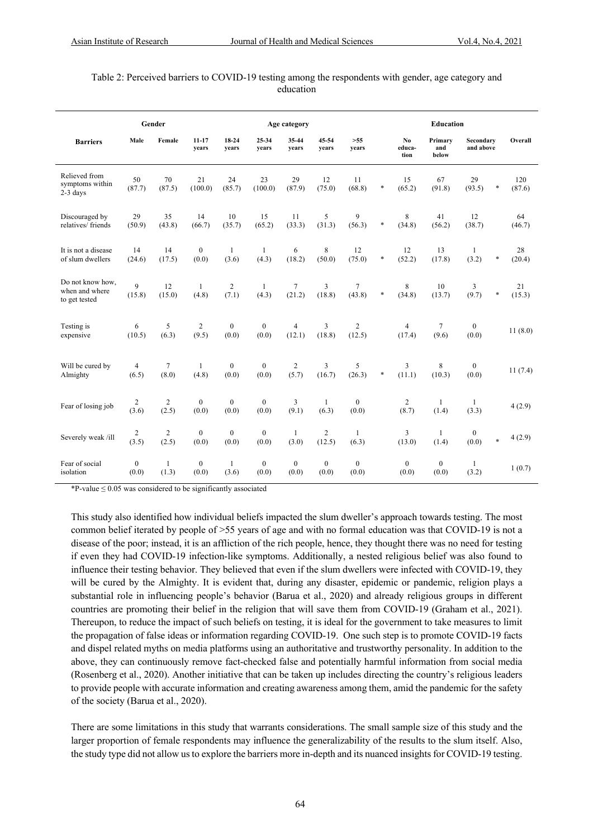## Table 2: Perceived barriers to COVID-19 testing among the respondents with gender, age category and education

|                                                     | Age category              |                         |                           |                           |                           |                           | Education                |                          |        |                                  |                         |                           |        |               |
|-----------------------------------------------------|---------------------------|-------------------------|---------------------------|---------------------------|---------------------------|---------------------------|--------------------------|--------------------------|--------|----------------------------------|-------------------------|---------------------------|--------|---------------|
| <b>Barriers</b>                                     | Male                      | Female                  | $11 - 17$<br>years        | 18-24<br>years            | 25-34<br>vears            | 35-44<br>years            | 45-54<br>vears           | >55<br>years             |        | N <sub>0</sub><br>educa-<br>tion | Primary<br>and<br>below | Secondary<br>and above    |        | Overall       |
| Relieved from<br>symptoms within<br>$2-3$ days      | 50<br>(87.7)              | 70<br>(87.5)            | 21<br>(100.0)             | 24<br>(85.7)              | 23<br>(100.0)             | 29<br>(87.9)              | 12<br>(75.0)             | 11<br>(68.8)             | $\ast$ | 15<br>(65.2)                     | 67<br>(91.8)            | 29<br>(93.5)              | *      | 120<br>(87.6) |
| Discouraged by<br>relatives/friends                 | 29<br>(50.9)              | 35<br>(43.8)            | 14<br>(66.7)              | 10<br>(35.7)              | 15<br>(65.2)              | 11<br>(33.3)              | 5<br>(31.3)              | 9<br>(56.3)              | $\ast$ | 8<br>(34.8)                      | 41<br>(56.2)            | 12<br>(38.7)              |        | 64<br>(46.7)  |
| It is not a disease<br>of slum dwellers             | 14<br>(24.6)              | 14<br>(17.5)            | $\boldsymbol{0}$<br>(0.0) | $\mathbf{1}$<br>(3.6)     | $\mathbf{1}$<br>(4.3)     | 6<br>(18.2)               | 8<br>(50.0)              | 12<br>(75.0)             | $\ast$ | 12<br>(52.2)                     | 13<br>(17.8)            | $\mathbf{1}$<br>(3.2)     | *      | 28<br>(20.4)  |
| Do not know how,<br>when and where<br>to get tested | 9<br>(15.8)               | 12<br>(15.0)            | $\mathbf{1}$<br>(4.8)     | $\overline{c}$<br>(7.1)   | $\mathbf{1}$<br>(4.3)     | $\overline{7}$<br>(21.2)  | 3<br>(18.8)              | $\tau$<br>(43.8)         | $\ast$ | 8<br>(34.8)                      | 10<br>(13.7)            | 3<br>(9.7)                | $\ast$ | 21<br>(15.3)  |
| Testing is<br>expensive                             | 6<br>(10.5)               | $\sqrt{5}$<br>(6.3)     | $\mathfrak{2}$<br>(9.5)   | $\mathbf{0}$<br>(0.0)     | $\boldsymbol{0}$<br>(0.0) | $\overline{4}$<br>(12.1)  | 3<br>(18.8)              | $\overline{2}$<br>(12.5) |        | 4<br>(17.4)                      | $\tau$<br>(9.6)         | $\boldsymbol{0}$<br>(0.0) |        | 11(8.0)       |
| Will be cured by<br>Almighty                        | $\overline{4}$<br>(6.5)   | $\tau$<br>(8.0)         | 1<br>(4.8)                | $\mathbf{0}$<br>(0.0)     | $\boldsymbol{0}$<br>(0.0) | $\overline{c}$<br>(5.7)   | 3<br>(16.7)              | 5<br>(26.3)              | $\ast$ | 3<br>(11.1)                      | $\,$ 8 $\,$<br>(10.3)   | $\mathbf{0}$<br>(0.0)     |        | 11(7.4)       |
| Fear of losing job                                  | $\overline{c}$<br>(3.6)   | $\overline{c}$<br>(2.5) | $\boldsymbol{0}$<br>(0.0) | $\mathbf{0}$<br>(0.0)     | $\mathbf{0}$<br>(0.0)     | $\overline{3}$<br>(9.1)   | $\mathbf{1}$<br>(6.3)    | $\mathbf{0}$<br>(0.0)    |        | $\overline{c}$<br>(8.7)          | $\mathbf{1}$<br>(1.4)   | $\mathbf{1}$<br>(3.3)     |        | 4(2.9)        |
| Severely weak /ill                                  | $\mathfrak{2}$<br>(3.5)   | $\overline{c}$<br>(2.5) | $\mathbf{0}$<br>(0.0)     | $\boldsymbol{0}$<br>(0.0) | $\boldsymbol{0}$<br>(0.0) | $\mathbf{1}$<br>(3.0)     | $\overline{2}$<br>(12.5) | $\mathbf{1}$<br>(6.3)    |        | 3<br>(13.0)                      | $\mathbf{1}$<br>(1.4)   | $\mathbf{0}$<br>(0.0)     | $\ast$ | 4(2.9)        |
| Fear of social<br>isolation                         | $\boldsymbol{0}$<br>(0.0) | $\mathbf{1}$<br>(1.3)   | $\mathbf{0}$<br>(0.0)     | $\mathbf{1}$<br>(3.6)     | $\mathbf{0}$<br>(0.0)     | $\boldsymbol{0}$<br>(0.0) | $\mathbf{0}$<br>(0.0)    | $\overline{0}$<br>(0.0)  |        | $\mathbf{0}$<br>(0.0)            | $\mathbf{0}$<br>(0.0)   | $\mathbf{1}$<br>(3.2)     |        | 1(0.7)        |

 $*P-value \leq 0.05$  was considered to be significantly associated

This study also identified how individual beliefs impacted the slum dweller's approach towards testing. The most common belief iterated by people of >55 years of age and with no formal education was that COVID-19 is not a disease of the poor; instead, it is an affliction of the rich people, hence, they thought there was no need for testing if even they had COVID-19 infection-like symptoms. Additionally, a nested religious belief was also found to influence their testing behavior. They believed that even if the slum dwellers were infected with COVID-19, they will be cured by the Almighty. It is evident that, during any disaster, epidemic or pandemic, religion plays a substantial role in influencing people's behavior (Barua et al., 2020) and already religious groups in different countries are promoting their belief in the religion that will save them from COVID-19 (Graham et al., 2021). Thereupon, to reduce the impact of such beliefs on testing, it is ideal for the government to take measures to limit the propagation of false ideas or information regarding COVID-19. One such step is to promote COVID-19 facts and dispel related myths on media platforms using an authoritative and trustworthy personality. In addition to the above, they can continuously remove fact-checked false and potentially harmful information from social media (Rosenberg et al., 2020). Another initiative that can be taken up includes directing the country's religious leaders to provide people with accurate information and creating awareness among them, amid the pandemic for the safety of the society (Barua et al., 2020).

There are some limitations in this study that warrants considerations. The small sample size of this study and the larger proportion of female respondents may influence the generalizability of the results to the slum itself. Also, the study type did not allow us to explore the barriers more in-depth and its nuanced insights for COVID-19 testing.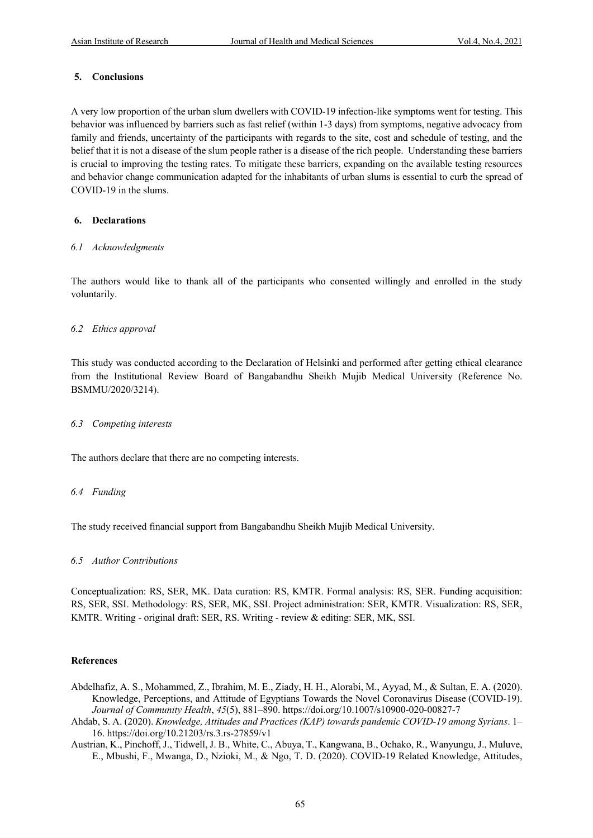# **5. Conclusions**

A very low proportion of the urban slum dwellers with COVID-19 infection-like symptoms went for testing. This behavior was influenced by barriers such as fast relief (within 1-3 days) from symptoms, negative advocacy from family and friends, uncertainty of the participants with regards to the site, cost and schedule of testing, and the belief that it is not a disease of the slum people rather is a disease of the rich people. Understanding these barriers is crucial to improving the testing rates. To mitigate these barriers, expanding on the available testing resources and behavior change communication adapted for the inhabitants of urban slums is essential to curb the spread of COVID-19 in the slums.

## **6. Declarations**

## *6.1 Acknowledgments*

The authors would like to thank all of the participants who consented willingly and enrolled in the study voluntarily.

# *6.2 Ethics approval*

This study was conducted according to the Declaration of Helsinki and performed after getting ethical clearance from the Institutional Review Board of Bangabandhu Sheikh Mujib Medical University (Reference No. BSMMU/2020/3214).

## *6.3 Competing interests*

The authors declare that there are no competing interests.

## *6.4 Funding*

The study received financial support from Bangabandhu Sheikh Mujib Medical University.

## *6.5 Author Contributions*

Conceptualization: RS, SER, MK. Data curation: RS, KMTR. Formal analysis: RS, SER. Funding acquisition: RS, SER, SSI. Methodology: RS, SER, MK, SSI. Project administration: SER, KMTR. Visualization: RS, SER, KMTR. Writing - original draft: SER, RS. Writing - review & editing: SER, MK, SSI.

## **References**

- Abdelhafiz, A. S., Mohammed, Z., Ibrahim, M. E., Ziady, H. H., Alorabi, M., Ayyad, M., & Sultan, E. A. (2020). Knowledge, Perceptions, and Attitude of Egyptians Towards the Novel Coronavirus Disease (COVID-19). *Journal of Community Health*, *45*(5), 881–890. https://doi.org/10.1007/s10900-020-00827-7
- Ahdab, S. A. (2020). *Knowledge, Attitudes and Practices (KAP) towards pandemic COVID-19 among Syrians*. 1– 16. https://doi.org/10.21203/rs.3.rs-27859/v1
- Austrian, K., Pinchoff, J., Tidwell, J. B., White, C., Abuya, T., Kangwana, B., Ochako, R., Wanyungu, J., Muluve, E., Mbushi, F., Mwanga, D., Nzioki, M., & Ngo, T. D. (2020). COVID-19 Related Knowledge, Attitudes,